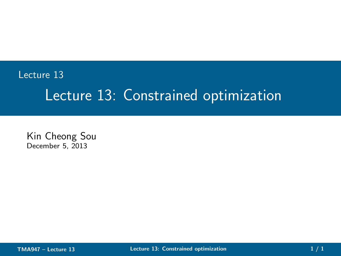# Lecture 13 Lecture 13: Constrained optimization

Kin Cheong Sou December 5, 2013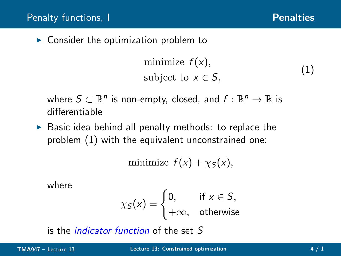<span id="page-1-1"></span><span id="page-1-0"></span>(1)

 $\triangleright$  Consider the optimization problem to

minimize  $f(x)$ , subject to  $x \in S$ .

where  $S \subset \mathbb{R}^n$  is non-empty, closed, and  $f: \mathbb{R}^n \to \mathbb{R}$  is differentiable

 $\triangleright$  Basic idea behind all penalty methods: to replace the problem [\(1\)](#page-1-1) with the equivalent unconstrained one:

minimize  $f(x) + \chi_{\mathsf{S}}(x)$ ,

where

$$
\chi_S(x) = \begin{cases} 0, & \text{if } x \in S, \\ +\infty, & \text{otherwise} \end{cases}
$$

is the indicator function of the set S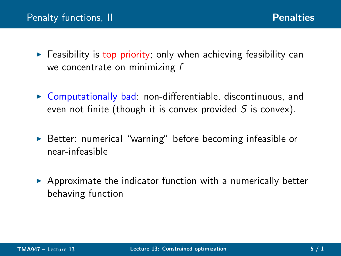- $\triangleright$  Feasibility is top priority; only when achieving feasibility can we concentrate on minimizing f
- $\triangleright$  Computationally bad: non-differentiable, discontinuous, and even not finite (though it is convex provided  $S$  is convex).
- ► Better: numerical "warning" before becoming infeasible or near-infeasible
- <span id="page-2-0"></span> $\triangleright$  Approximate the indicator function with a numerically better behaving function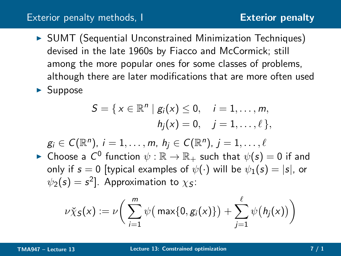#### [Exterior penalty](#page-3-0) methods, I

▶ SUMT (Sequential Unconstrained Minimization Techniques) devised in the late 1960s by Fiacco and McCormick; still among the more popular ones for some classes of problems, although there are later modifications that are more often used  $\blacktriangleright$  Suppose

$$
S = \{ x \in \mathbb{R}^n \mid g_i(x) \le 0, \quad i = 1, ..., m, h_j(x) = 0, \quad j = 1, ..., \ell \},
$$

 $g_i \in C(\mathbb{R}^n)$ ,  $i = 1, \ldots, m$ ,  $h_j \in C(\mathbb{R}^n)$ ,  $j = 1, \ldots, \ell$ 

 $\blacktriangleright$  Choose a  $\mathcal{C}^0$  function  $\psi: \mathbb{R} \to \mathbb{R}_+$  such that  $\psi(s) = 0$  if and only if  $s = 0$  [typical examples of  $\psi(\cdot)$  will be  $\psi_1(s) = |s|$ , or  $\psi_2(s)=s^2]$ . Approximation to  $\chi_S$ :

<span id="page-3-0"></span>
$$
\nu \check{\chi}_S(x) := \nu \bigg( \sum_{i=1}^m \psi \big( \max\{0, g_i(x)\} \big) + \sum_{j=1}^\ell \psi \big( h_j(x) \big) \bigg)
$$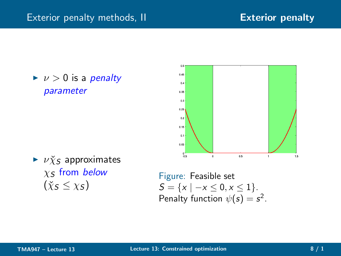$\blacktriangleright$   $\nu > 0$  is a penalty parameter



 $\blacktriangleright$   $\nu \chi_S$  approximates  $x<sub>S</sub>$  from below  $(\check{\chi}_{\varsigma} < \chi_{\varsigma})$ 

<span id="page-4-0"></span>Figure: Feasible set  $S = \{x \mid -x \leq 0, x \leq 1\}.$ Penalty function  $\psi(s) = s^2$ .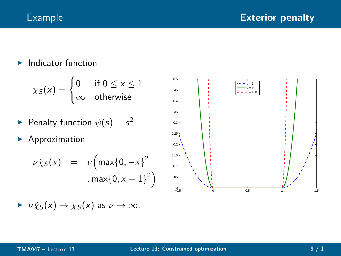$\blacktriangleright$  Indicator function

$$
\chi_S(x) = \begin{cases} 0 & \text{if } 0 \le x \le 1 \\ \infty & \text{otherwise} \end{cases}
$$

- $\blacktriangleright$  Penalty function  $\psi(s) = s^2$
- ▶ Approximation

$$
\nu \chi_S(x) = \nu \Big( \max\{0, -x\}^2 \Big)
$$
  
, max $\{0, x - 1\}^2$ 

$$
\triangleright \nu \check{\chi}_S(x) \to \chi_S(x) \text{ as } \nu \to \infty.
$$

<span id="page-5-0"></span>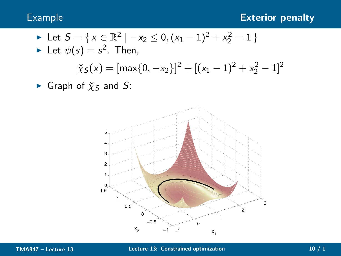► Let 
$$
S = \{x \in \mathbb{R}^2 \mid -x_2 \le 0, (x_1 - 1)^2 + x_2^2 = 1\}
$$
  
\n► Let  $\psi(s) = s^2$ . Then,

$$
\chi_S(x) = [\max\{0, -x_2\}]^2 + [(x_1 - 1)^2 + x_2^2 - 1]^2
$$

Graph of  $\check{\chi}_S$  and S:

<span id="page-6-0"></span>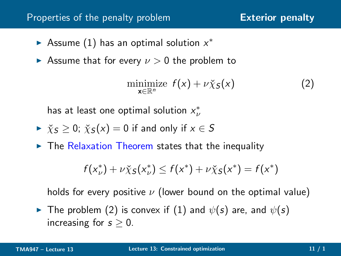### Properties of the penalty problem [Exterior penalty](#page-7-0)

- Assume [\(1\)](#page-1-1) has an optimal solution  $x^*$
- Assume that for every  $\nu > 0$  the problem to

<span id="page-7-1"></span>
$$
\underset{\mathbf{x} \in \mathbb{R}^n}{\text{minimize}} \ f(\mathbf{x}) + \nu \check{\chi}_S(\mathbf{x}) \tag{2}
$$

has at least one optimal solution  $x^*_\nu$ 

$$
\triangleright \ \ \check{\chi}_S \geq 0; \ \check{\chi}_S(x) = 0 \ \text{if and only if} \ x \in S
$$

 $\triangleright$  The Relaxation Theorem states that the inequality

<span id="page-7-0"></span>
$$
f(x_{\nu}^*) + \nu \check{\chi}_S(x_{\nu}^*) \leq f(x^*) + \nu \check{\chi}_S(x^*) = f(x^*)
$$

holds for every positive  $\nu$  (lower bound on the optimal value)

 $\blacktriangleright$  The problem [\(2\)](#page-7-1) is convex if [\(1\)](#page-1-1) and  $\psi(s)$  are, and  $\psi(s)$ increasing for  $s \geq 0$ .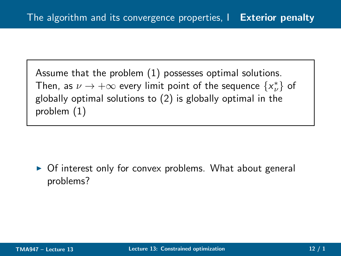Assume that the problem [\(1\)](#page-1-1) possesses optimal solutions. Then, as  $\nu \to +\infty$  every limit point of the sequence  $\{x^*_{\nu}\}$  of globally optimal solutions to [\(2\)](#page-7-1) is globally optimal in the problem [\(1\)](#page-1-1)

<span id="page-8-0"></span>► Of interest only for convex problems. What about general problems?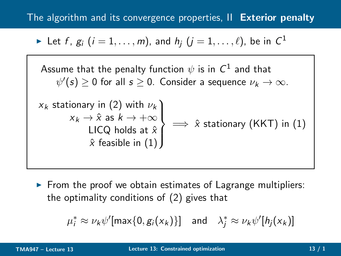## The algorithm and its convergence properties, II [Exterior penalty](#page-9-0)

Let 
$$
f
$$
,  $g_i$   $(i = 1, ..., m)$ , and  $h_j$   $(j = 1, ..., \ell)$ , be in  $\mathbb{C}^1$ 

Assume that the penalty function  $\psi$  is in  $\mathsf{C}^1$  and that  $\psi'(s) \geq 0$  for all  $s \geq 0$ . Consider a sequence  $\nu_k \to \infty$ .

$$
\begin{array}{c}\n x_k \text{ stationary in (2) with } \nu_k \\
 x_k \to \hat{x} \text{ as } k \to +\infty \\
 \text{LICQ holds at } \hat{x} \\
 \hat{x} \text{ feasible in (1)}\n\end{array}\n\implies \hat{x} \text{ stationary (KKT) in (1)}
$$

 $\triangleright$  From the proof we obtain estimates of Lagrange multipliers: the optimality conditions of [\(2\)](#page-7-1) gives that

<span id="page-9-0"></span>
$$
\mu_i^* \approx \nu_k \psi'[\max\{0, g_i(x_k)\}] \quad \text{and} \quad \lambda_j^* \approx \nu_k \psi'[\mathit{h}_j(x_k)]
$$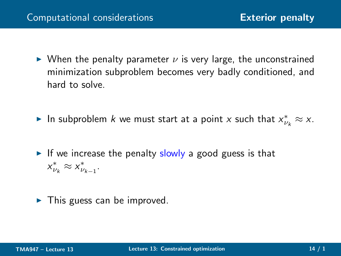- $\triangleright$  When the penalty parameter  $\nu$  is very large, the unconstrained minimization subproblem becomes very badly conditioned, and hard to solve.
- ► In subproblem *k* we must start at a point *x* such that  $x^*_{\nu_k} \approx x$ .
- $\triangleright$  If we increase the penalty slowly a good guess is that  $x_{\nu_k}^* \approx x_{\nu_{k-1}}^*$ .
- <span id="page-10-0"></span> $\blacktriangleright$  This guess can be improved.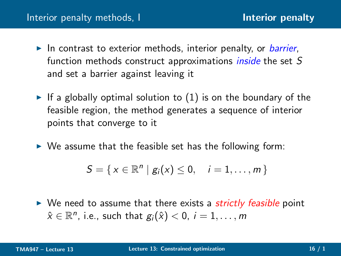- $\blacktriangleright$  In contrast to exterior methods, interior penalty, or *barrier*, function methods construct approximations *inside* the set S and set a barrier against leaving it
- $\blacktriangleright$  If a globally optimal solution to [\(1\)](#page-1-1) is on the boundary of the feasible region, the method generates a sequence of interior points that converge to it
- $\triangleright$  We assume that the feasible set has the following form:

<span id="page-11-0"></span>
$$
S = \{x \in \mathbb{R}^n \mid g_i(x) \leq 0, \quad i = 1, \ldots, m\}
$$

 $\triangleright$  We need to assume that there exists a *strictly feasible* point  $\hat{\mathsf{x}}\in\mathbb{R}^n$ , i.e., such that  $g_i(\hat{\mathsf{x}})<0$ ,  $i=1,\ldots,m$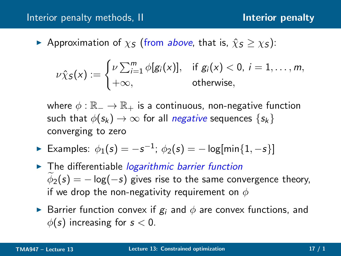### [Interior penalty](#page-12-0) methods, II and the state of the linterior penalty

Approximation of  $\chi_S$  (from above, that is,  $\hat{\chi}_S \geq \chi_S$ ):

$$
\nu \hat{\chi}_S(x) := \begin{cases} \nu \sum_{i=1}^m \phi[g_i(x)], & \text{if } g_i(x) < 0, i = 1, \ldots, m, \\ +\infty, & \text{otherwise}, \end{cases}
$$

where  $\phi : \mathbb{R}_- \to \mathbb{R}_+$  is a continuous, non-negative function such that  $\phi(s_k) \to \infty$  for all *negative* sequences  $\{s_k\}$ converging to zero

- ► Examples:  $\phi_1(s) = -s^{-1}$ ;  $\phi_2(s) = -\log[\min\{1, -s\}]$
- $\blacktriangleright$  The differentiable *logarithmic barrier function*  $\phi_2(s) = -\log(-s)$  gives rise to the same convergence theory, if we drop the non-negativity requirement on  $\phi$
- <span id="page-12-0"></span>► Barrier function convex if  $g_i$  and  $\phi$  are convex functions, and  $\phi(s)$  increasing for  $s < 0$ .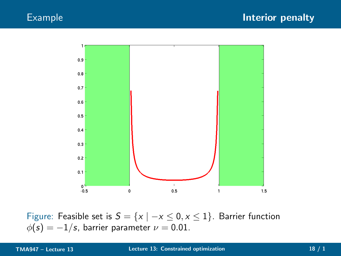

<span id="page-13-0"></span>Figure: Feasible set is  $S = \{x \mid -x \leq 0, x \leq 1\}$ . Barrier function  $\phi(s) = -1/s$ , barrier parameter  $\nu = 0.01$ .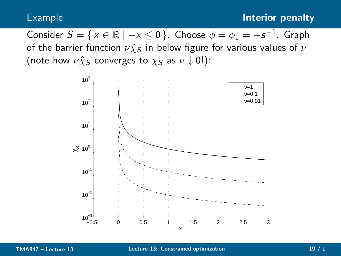Consider  $S = \{x \in \mathbb{R} \mid -x \le 0\}$ . Choose  $\phi = \phi_1 = -s^{-1}$ . Graph of the barrier function  $\nu \hat{\chi}_S$  in below figure for various values of  $\nu$ (note how  $\nu \hat{\chi}_S$  converges to  $\chi_S$  as  $\nu \downarrow 0!$ ):



<span id="page-14-0"></span>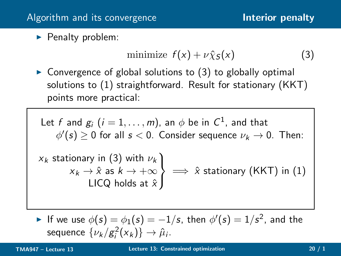▶ Penalty problem:

<span id="page-15-1"></span><span id="page-15-0"></span>
$$
\text{minimize } f(x) + \nu \hat{\chi}_S(x) \tag{3}
$$

 $\triangleright$  Convergence of global solutions to [\(3\)](#page-15-1) to globally optimal solutions to [\(1\)](#page-1-1) straightforward. Result for stationary (KKT) points more practical:

Let *f* and *g<sub>i</sub>* (*i* = 1,..., *m*), an 
$$
\phi
$$
 be in *C*<sup>1</sup>, and that  
\n $\phi'(s) \ge 0$  for all  $s < 0$ . Consider sequence  $\nu_k \to 0$ . Then:  
\n $x_k$  stationary in (3) with  $\nu_k$   
\n $x_k \to \hat{x}$  as  $k \to +\infty$   
\nLICQ holds at  $\hat{x}$ 

► If we use  $\phi(s) = \phi_1(s) = -1/s$ , then  $\phi'(s) = 1/s^2$ , and the sequence  $\{\nu_k/g_i^2(x_k)\}\rightarrow \hat{\mu}_i$ .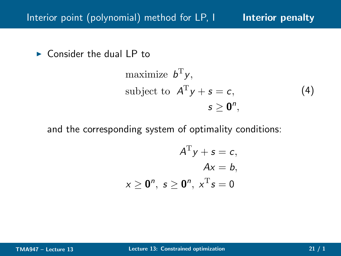$\triangleright$  Consider the dual LP to

<span id="page-16-1"></span>maximize 
$$
b^T y
$$
,  
subject to  $A^T y + s = c$ , (4)  
 $s \ge 0^n$ ,

and the corresponding system of optimality conditions:

<span id="page-16-0"></span>
$$
ATy + s = c,
$$
  
\n
$$
Ax = b,
$$
  
\n
$$
x \ge 0n, s \ge 0n, xTs = 0
$$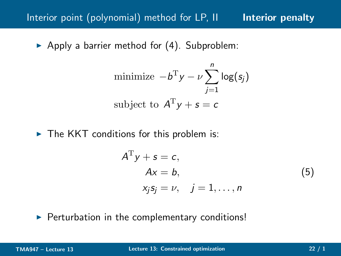# Interior point (polynomial) method for LP, II [Interior penalty](#page-17-0)

Apply a barrier method for  $(4)$ . Subproblem:

minimize 
$$
-b^T y - \nu \sum_{j=1}^n \log(s_j)
$$
  
subject to  $A^T y + s = c$ 

 $\triangleright$  The KKT conditions for this problem is:

<span id="page-17-1"></span><span id="page-17-0"></span>
$$
ATy + s = c,Ax = b,xjsj = \nu, j = 1,...,n
$$
 (5)

▶ Perturbation in the complementary conditions!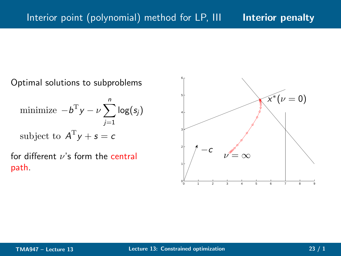Optimal solutions to subproblems

minimize 
$$
-b^T y - \nu \sum_{j=1}^n \log(s_j)
$$
  
subject to  $A^T y + s = c$ 

for different  $\nu$ 's form the central path.

<span id="page-18-0"></span>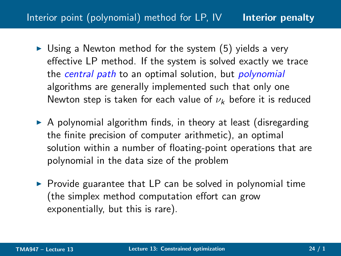# Interior point (polynomial) method for LP, IV [Interior penalty](#page-19-0)

- $\triangleright$  Using a Newton method for the system [\(5\)](#page-17-1) yields a very effective LP method. If the system is solved exactly we trace the central path to an optimal solution, but polynomial algorithms are generally implemented such that only one Newton step is taken for each value of  $\nu_k$  before it is reduced
- $\triangleright$  A polynomial algorithm finds, in theory at least (disregarding the finite precision of computer arithmetic), an optimal solution within a number of floating-point operations that are polynomial in the data size of the problem
- <span id="page-19-0"></span> $\triangleright$  Provide guarantee that LP can be solved in polynomial time (the simplex method computation effort can grow exponentially, but this is rare).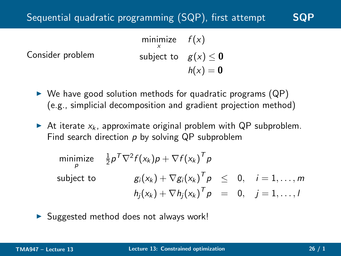# Sequential quadratic programming ([SQP](#page-20-0)), first attempt SQP

Consider problem minimize  $f(x)$ x subject to  $g(x) \leq 0$  $h(x) = 0$ 

- $\triangleright$  We have good solution methods for quadratic programs (QP) (e.g., simplicial decomposition and gradient projection method)
- At iterate  $x_k$ , approximate original problem with QP subproblem. Find search direction  $p$  by solving QP subproblem

<span id="page-20-0"></span>minimize 
$$
\frac{1}{2}p^T \nabla^2 f(x_k)p + \nabla f(x_k)^T p
$$
  
subject to  
 $g_i(x_k) + \nabla g_i(x_k)^T p \le 0, \quad i = 1, ..., m$   
 $h_j(x_k) + \nabla h_j(x_k)^T p = 0, \quad j = 1, ..., l$ 

 $\triangleright$  Suggested method does not always work!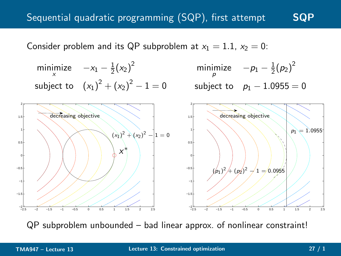# Sequential quadratic programming  $(SQP)$  $(SQP)$  $(SQP)$ , first attempt  $SQP$

Consider problem and its QP subproblem at  $x_1 = 1.1$ ,  $x_2 = 0$ :



<span id="page-21-0"></span>QP subproblem unbounded – bad linear approx. of nonlinear constraint!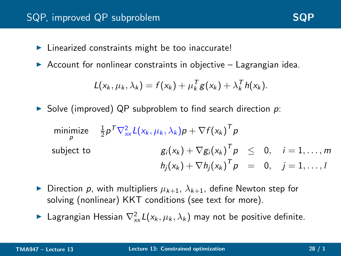## [SQP](#page-22-0), improved QP subproblem SQP

- ► Linearized constraints might be too inaccurate!
- $\triangleright$  Account for nonlinear constraints in objective Lagrangian idea.

$$
L(x_k, \mu_k, \lambda_k) = f(x_k) + \mu_k^T g(x_k) + \lambda_k^T h(x_k).
$$

 $\triangleright$  Solve (improved) QP subproblem to find search direction p:

minimize 
$$
\frac{1}{2} p^T \nabla_{xx}^2 L(x_k, \mu_k, \lambda_k) p + \nabla f(x_k)^T p
$$
  
\nsubject to  
\n $g_i(x_k) + \nabla g_i(x_k)^T p \leq 0, \quad i = 1, ..., m$   
\n $h_j(x_k) + \nabla h_j(x_k)^T p = 0, \quad j = 1, ..., l$ 

- Direction p, with multipliers  $\mu_{k+1}$ ,  $\lambda_{k+1}$ , define Newton step for solving (nonlinear) KKT conditions (see text for more).
- <span id="page-22-0"></span>► Lagrangian Hessian  $\nabla_{xx}^2 L(x_k, \mu_k, \lambda_k)$  may not be positive definite.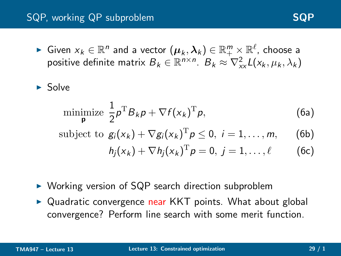# [SQP](#page-23-0), working QP subproblem SQP SQP

► Given  $x_k \in \mathbb{R}^n$  and a vector  $(\boldsymbol{\mu}_k, \boldsymbol{\lambda}_k) \in \mathbb{R}^m_+ \times \mathbb{R}^\ell$ , choose a positive definite matrix  $B_k \in \mathbb{R}^{n \times n}$ .  $B_k \approx \nabla_{xx}^2 L(x_k, \mu_k, \lambda_k)$ 

 $\blacktriangleright$  Solve

$$
\underset{\mathbf{p}}{\text{minimize}}\ \frac{1}{2}\rho^{\mathrm{T}}B_{k}\rho+\nabla f(x_{k})^{\mathrm{T}}\rho,\tag{6a}
$$

subject to 
$$
g_i(x_k) + \nabla g_i(x_k)^T p \le 0, i = 1, ..., m,
$$
 (6b)

<span id="page-23-0"></span>
$$
h_j(x_k) + \nabla h_j(x_k)^{\mathrm{T}} p = 0, \ j = 1, \ldots, \ell \qquad (6c)
$$

- ► Working version of SQP search direction subproblem
- ► Quadratic convergence near KKT points. What about global convergence? Perform line search with some merit function.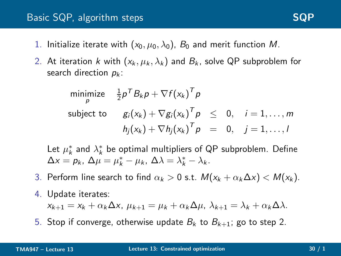## Basic [SQP](#page-24-0), algorithm steps SQP SQP

- 1. Initialize iterate with  $(x_0, \mu_0, \lambda_0)$ ,  $B_0$  and merit function M.
- 2. At iteration k with  $(x_k, \mu_k, \lambda_k)$  and  $B_k$ , solve QP subproblem for search direction  $p_k$ :

$$
\begin{array}{llll}\n\text{minimize} & \frac{1}{2} p^T B_k p + \nabla f(x_k)^T p \\
\text{subject to} & g_i(x_k) + \nabla g_i(x_k)^T p \leq 0, \quad i = 1, \dots, m \\
& h_j(x_k) + \nabla h_j(x_k)^T p = 0, \quad j = 1, \dots, l\n\end{array}
$$

Let  $\mu_k^*$  and  $\lambda_k^*$  be optimal multipliers of QP subproblem. Define  $\Delta x = p_k, \ \Delta \mu = \mu_k^* - \mu_k, \ \Delta \lambda = \lambda_k^* - \lambda_k.$ 

- 3. Perform line search to find  $\alpha_k > 0$  s.t.  $M(x_k + \alpha_k \Delta x) < M(x_k)$ .
- 4. Update iterates:

<span id="page-24-0"></span> $x_{k+1} = x_k + \alpha_k \Delta x$ ,  $\mu_{k+1} = \mu_k + \alpha_k \Delta \mu$ ,  $\lambda_{k+1} = \lambda_k + \alpha_k \Delta \lambda$ .

5. Stop if converge, otherwise update  $B_k$  to  $B_{k+1}$ ; go to step 2.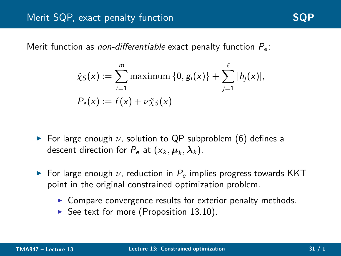Merit function as *non-differentiable* exact penalty function  $P_e$ :

$$
\check{\chi}_S(x) := \sum_{i=1}^m \text{maximum} \{0, g_i(x)\} + \sum_{j=1}^{\ell} |h_j(x)|, \\ P_e(x) := f(x) + \nu \check{\chi}_S(x)
$$

- $\triangleright$  For large enough  $\nu$ , solution to QP subproblem (6) defines a descent direction for  $P_e$  at  $(x_k, \mu_k, \lambda_k)$ .
- <span id="page-25-0"></span> $\triangleright$  For large enough  $\nu$ , reduction in  $P_e$  implies progress towards KKT point in the original constrained optimization problem.
	- ▶ Compare convergence results for exterior penalty methods.
	- ▶ See text for more (Proposition  $13.10$ ).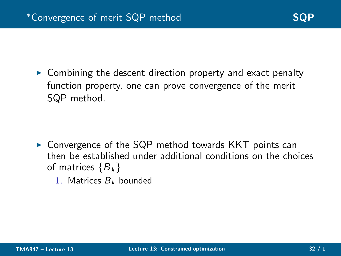$\triangleright$  Combining the descent direction property and exact penalty function property, one can prove convergence of the merit SQP method.

- <span id="page-26-0"></span> $\triangleright$  Convergence of the SQP method towards KKT points can then be established under additional conditions on the choices of matrices  ${B_k}$ 
	- 1. Matrices  $B_k$  bounded